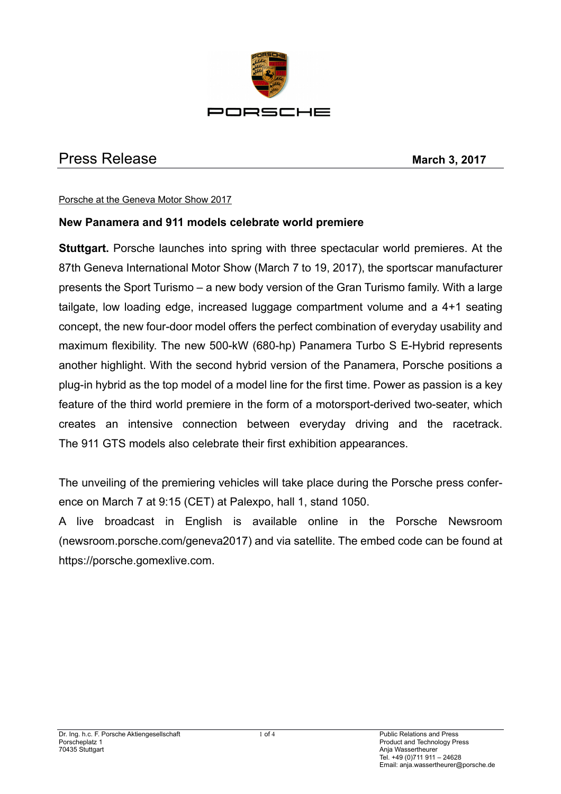

# Press Release **March 3, 2017**

#### Porsche at the Geneva Motor Show 2017

# **New Panamera and 911 models celebrate world premiere**

**Stuttgart.** Porsche launches into spring with three spectacular world premieres. At the 87th Geneva International Motor Show (March 7 to 19, 2017), the sportscar manufacturer presents the Sport Turismo – a new body version of the Gran Turismo family. With a large tailgate, low loading edge, increased luggage compartment volume and a 4+1 seating concept, the new four-door model offers the perfect combination of everyday usability and maximum flexibility. The new 500-kW (680-hp) Panamera Turbo S E-Hybrid represents another highlight. With the second hybrid version of the Panamera, Porsche positions a plug-in hybrid as the top model of a model line for the first time. Power as passion is a key feature of the third world premiere in the form of a motorsport-derived two-seater, which creates an intensive connection between everyday driving and the racetrack. The 911 GTS models also celebrate their first exhibition appearances.

The unveiling of the premiering vehicles will take place during the Porsche press conference on March 7 at 9:15 (CET) at Palexpo, hall 1, stand 1050.

A live broadcast in English is available online in the Porsche Newsroom (newsroom.porsche.com/geneva2017) and via satellite. The embed code can be found at https://porsche.gomexlive.com.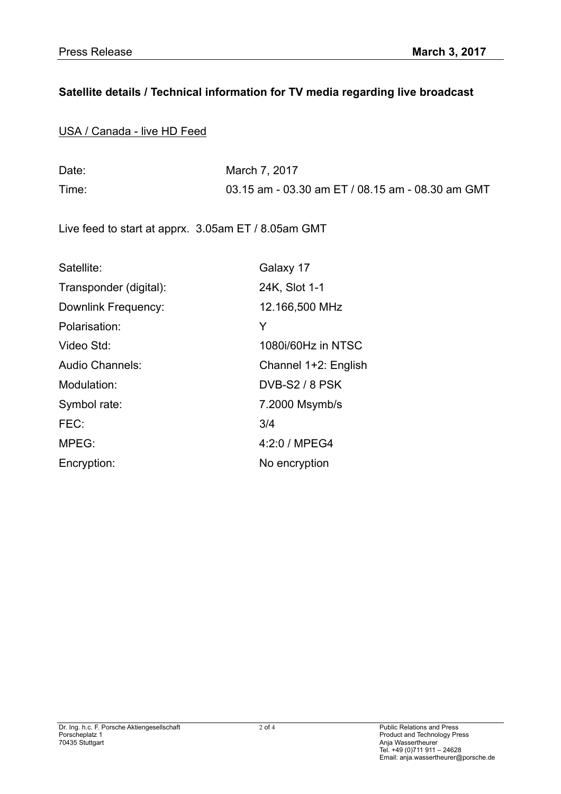# **Satellite details / Technical information for TV media regarding live broadcast**

USA / Canada - live HD Feed

| Date: | March 7, 2017                                    |
|-------|--------------------------------------------------|
| Time: | 03.15 am - 03.30 am ET / 08.15 am - 08.30 am GMT |

Live feed to start at apprx. 3.05am ET / 8.05am GMT

| Satellite:             | Galaxy 17             |
|------------------------|-----------------------|
| Transponder (digital): | 24K, Slot 1-1         |
| Downlink Frequency:    | 12.166,500 MHz        |
| Polarisation:          | Y                     |
| Video Std:             | 1080i/60Hz in NTSC    |
| Audio Channels:        | Channel 1+2: English  |
| Modulation:            | <b>DVB-S2 / 8 PSK</b> |
| Symbol rate:           | 7.2000 Msymb/s        |
| FEC:                   | 3/4                   |
| MPEG:                  | 4:2:0 / MPEG4         |
| Encryption:            | No encryption         |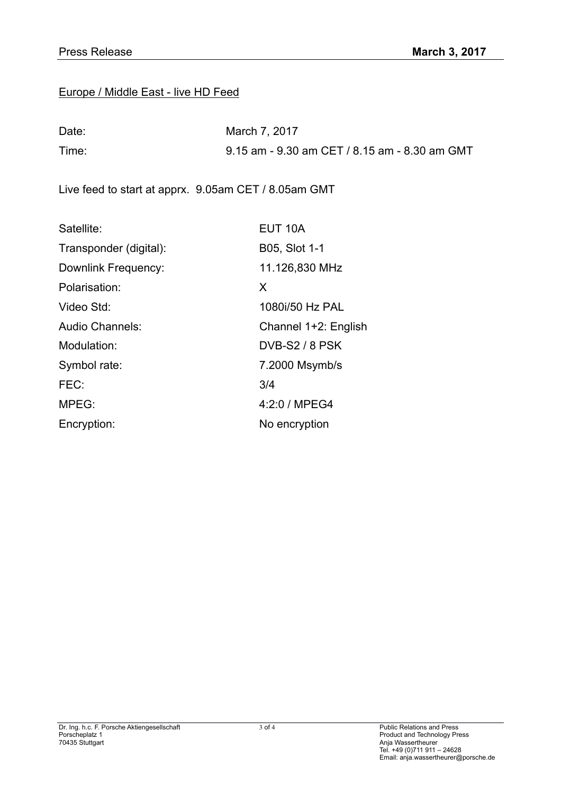## Europe / Middle East - live HD Feed

| Date: | March 7, 2017                                 |
|-------|-----------------------------------------------|
| Time: | 9.15 am - 9.30 am CET / 8.15 am - 8.30 am GMT |

Live feed to start at apprx. 9.05am CET / 8.05am GMT

| Satellite:             | EUT <sub>10</sub> A   |
|------------------------|-----------------------|
| Transponder (digital): | B05, Slot 1-1         |
| Downlink Frequency:    | 11.126,830 MHz        |
| Polarisation:          | X                     |
| Video Std:             | 1080i/50 Hz PAL       |
| <b>Audio Channels:</b> | Channel 1+2: English  |
| Modulation:            | <b>DVB-S2 / 8 PSK</b> |
| Symbol rate:           | 7.2000 Msymb/s        |
| FEC:                   | 3/4                   |
| MPEG:                  | 4:2:0 / MPEG4         |
| Encryption:            | No encryption         |